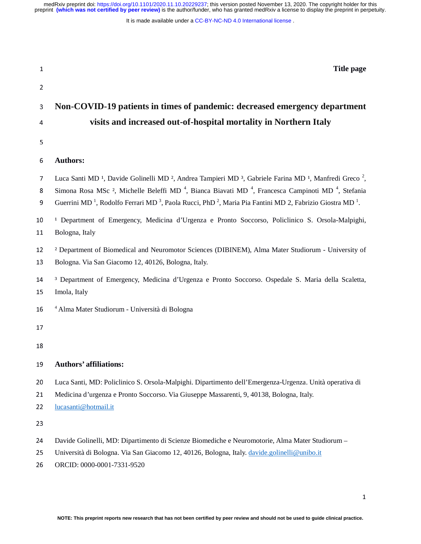It is made available under a [CC-BY-NC-ND 4.0 International license](http://creativecommons.org/licenses/by-nc-nd/4.0/) .

| $\mathbf{1}$   | Title page                                                                                                                                                                                                                                                                                                                                                                                                                                                                        |
|----------------|-----------------------------------------------------------------------------------------------------------------------------------------------------------------------------------------------------------------------------------------------------------------------------------------------------------------------------------------------------------------------------------------------------------------------------------------------------------------------------------|
| $\overline{2}$ |                                                                                                                                                                                                                                                                                                                                                                                                                                                                                   |
| 3              | Non-COVID-19 patients in times of pandemic: decreased emergency department                                                                                                                                                                                                                                                                                                                                                                                                        |
| 4              | visits and increased out-of-hospital mortality in Northern Italy                                                                                                                                                                                                                                                                                                                                                                                                                  |
| 5              |                                                                                                                                                                                                                                                                                                                                                                                                                                                                                   |
| 6              | <b>Authors:</b>                                                                                                                                                                                                                                                                                                                                                                                                                                                                   |
| 7<br>8<br>9    | Luca Santi MD <sup>1</sup> , Davide Golinelli MD <sup>2</sup> , Andrea Tampieri MD <sup>3</sup> , Gabriele Farina MD <sup>1</sup> , Manfredi Greco <sup>2</sup> ,<br>Simona Rosa MSc <sup>2</sup> , Michelle Beleffi MD <sup>4</sup> , Bianca Biavati MD <sup>4</sup> , Francesca Campinoti MD <sup>4</sup> , Stefania<br>Guerrini MD <sup>1</sup> , Rodolfo Ferrari MD <sup>3</sup> , Paola Rucci, PhD <sup>2</sup> , Maria Pia Fantini MD 2, Fabrizio Giostra MD <sup>1</sup> . |
| 10<br>11       | <sup>1</sup> Department of Emergency, Medicina d'Urgenza e Pronto Soccorso, Policlinico S. Orsola-Malpighi,<br>Bologna, Italy                                                                                                                                                                                                                                                                                                                                                     |
| 12<br>13       | <sup>2</sup> Department of Biomedical and Neuromotor Sciences (DIBINEM), Alma Mater Studiorum - University of<br>Bologna. Via San Giacomo 12, 40126, Bologna, Italy.                                                                                                                                                                                                                                                                                                              |
| 14<br>15       | <sup>3</sup> Department of Emergency, Medicina d'Urgenza e Pronto Soccorso. Ospedale S. Maria della Scaletta,<br>Imola, Italy                                                                                                                                                                                                                                                                                                                                                     |
| 16             | <sup>4</sup> Alma Mater Studiorum - Università di Bologna                                                                                                                                                                                                                                                                                                                                                                                                                         |
| 17             |                                                                                                                                                                                                                                                                                                                                                                                                                                                                                   |
| 18             |                                                                                                                                                                                                                                                                                                                                                                                                                                                                                   |
| 19             | <b>Authors' affiliations:</b>                                                                                                                                                                                                                                                                                                                                                                                                                                                     |
| 20             | Luca Santi, MD: Policlinico S. Orsola-Malpighi. Dipartimento dell'Emergenza-Urgenza. Unità operativa di                                                                                                                                                                                                                                                                                                                                                                           |
| 21             | Medicina d'urgenza e Pronto Soccorso. Via Giuseppe Massarenti, 9, 40138, Bologna, Italy.                                                                                                                                                                                                                                                                                                                                                                                          |
| 22             | lucasanti@hotmail.it                                                                                                                                                                                                                                                                                                                                                                                                                                                              |
| 23             |                                                                                                                                                                                                                                                                                                                                                                                                                                                                                   |
| 24             | Davide Golinelli, MD: Dipartimento di Scienze Biomediche e Neuromotorie, Alma Mater Studiorum -                                                                                                                                                                                                                                                                                                                                                                                   |
| 25             | Università di Bologna. Via San Giacomo 12, 40126, Bologna, Italy. davide.golinelli@unibo.it                                                                                                                                                                                                                                                                                                                                                                                       |
| 26             | ORCID: 0000-0001-7331-9520                                                                                                                                                                                                                                                                                                                                                                                                                                                        |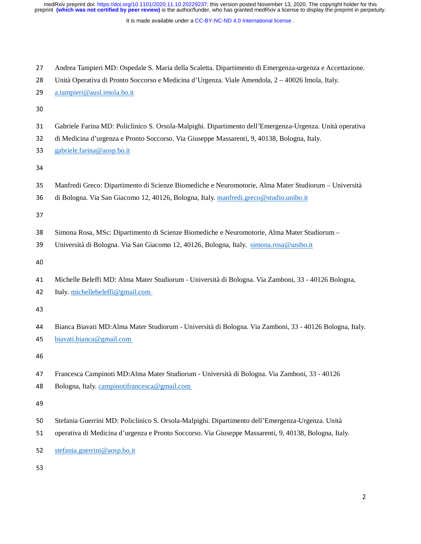It is made available under a [CC-BY-NC-ND 4.0 International license](http://creativecommons.org/licenses/by-nc-nd/4.0/) .

| 27<br>28<br>29       | Andrea Tampieri MD: Ospedale S. Maria della Scaletta. Dipartimento di Emergenza-urgenza e Accettazione.<br>Unità Operativa di Pronto Soccorso e Medicina d'Urgenza. Viale Amendola, 2 – 40026 Imola, Italy.<br>a.tampieri@ausl.imola.bo.it |
|----------------------|--------------------------------------------------------------------------------------------------------------------------------------------------------------------------------------------------------------------------------------------|
| 30                   |                                                                                                                                                                                                                                            |
| 31<br>32<br>33<br>34 | Gabriele Farina MD: Policlinico S. Orsola-Malpighi. Dipartimento dell'Emergenza-Urgenza. Unità operativa<br>di Medicina d'urgenza e Pronto Soccorso. Via Giuseppe Massarenti, 9, 40138, Bologna, Italy.<br>gabriele.farina@aosp.bo.it      |
| 35<br>36<br>37       | Manfredi Greco: Dipartimento di Scienze Biomediche e Neuromotorie, Alma Mater Studiorum – Università<br>di Bologna. Via San Giacomo 12, 40126, Bologna, Italy. manfredi.greco@studio.unibo.it                                              |
| 38<br>39<br>40       | Simona Rosa, MSc: Dipartimento di Scienze Biomediche e Neuromotorie, Alma Mater Studiorum -<br>Università di Bologna. Via San Giacomo 12, 40126, Bologna, Italy. simona.rosa@unibo.it                                                      |
| 41<br>42<br>43       | Michelle Beleffi MD: Alma Mater Studiorum - Università di Bologna. Via Zamboni, 33 - 40126 Bologna,<br>Italy. michellebeleffi@gmail.com                                                                                                    |
| 44<br>45<br>46       | Bianca Biavati MD: Alma Mater Studiorum - Università di Bologna. Via Zamboni, 33 - 40126 Bologna, Italy.<br>biavati.bianca@gmail.com                                                                                                       |
| 47<br>48<br>49       | Francesca Campinoti MD: Alma Mater Studiorum - Università di Bologna. Via Zamboni, 33 - 40126<br>Bologna, Italy. campinotifrancesca@gmail.com                                                                                              |
| 50<br>51<br>52       | Stefania Guerrini MD: Policlinico S. Orsola-Malpighi. Dipartimento dell'Emergenza-Urgenza. Unità<br>operativa di Medicina d'urgenza e Pronto Soccorso. Via Giuseppe Massarenti, 9, 40138, Bologna, Italy.<br>stefania.guerrini@aosp.bo.it  |
| 53                   |                                                                                                                                                                                                                                            |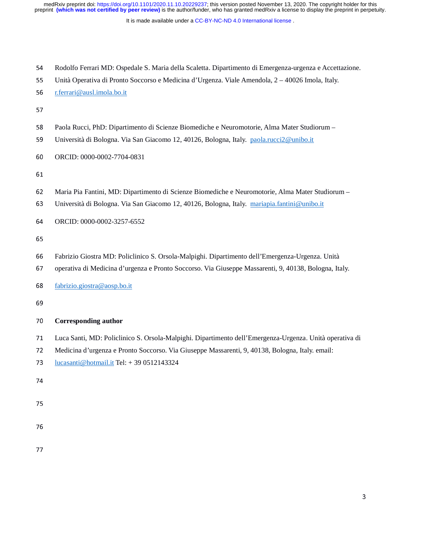It is made available under a CC-BY-NC-ND 4.0 International license.

| 54 Rodolfo Ferrari MD: Ospedale S. Maria della Scaletta. Dipartimento di Emergenza-urgenza e Accettazione. |  |  |
|------------------------------------------------------------------------------------------------------------|--|--|
|                                                                                                            |  |  |

55 Unità Operativa di Pronto Soccorso e Medicina d'Urgenza. Viale Amendola, 2 – 40026 Imola, Italy.<br>56 terrari@ausl.imola.bo.it

# <sup>56</sup>r.ferrari@ausl.imola.bo.it

- 57
- 58 Paola Rucci, PhD: Dipartimento di Scienze Biomediche e Neuromotorie, Alma Mater Studiorum –<br>59 Università di Bologna. Via San Giacomo 12, 40126, Bologna, Italy. paola.rucci2@unibo.it
- <sup>59</sup>Università di Bologna. Via San Giacomo 12, 40126, Bologna, Italy. paola.rucci2@unibo.it

60 ORCID: 0000-0002-7704-0831

61

- 62 Maria Pia Fantini, MD: Dipartimento di Scienze Biomediche e Neuromotorie, Alma Mater Studiorum –<br>63 Università di Bologna. Via San Giacomo 12, 40126, Bologna, Italy. mariapia.fantini@unibo.it
- Università di Bologna. Via San Giacomo 12, 40126, Bologna, Italy. mariapia.fantini@unibo.it
- 64 ORCID: 0000-0002-3257-6552

- 66 Fabrizio Giostra MD: Policlinico S. Orsola-Malpighi. Dipartimento dell'Emergenza-Urgenza. Unità<br>67 operativa di Medicina d'urgenza e Pronto Soccorso. Via Giuseppe Massarenti, 9, 40138, Bologna, Ita
- <sup>67</sup>operativa di Medicina d'urgenza e Pronto Soccorso. Via Giuseppe Massarenti, 9, 40138, Bologna, Italy.
- <sup>68</sup>fabrizio.giostra@aosp.bo.it
- 

# <sup>70</sup>**Corresponding author**

- 71 Luca Santi, MD: Policlinico S. Orsola-Malpighi. Dipartimento dell'Emergenza-Urgenza. Unità operativa di<br>72 Medicina d'urgenza e Pronto Soccorso. Via Giuseppe Massarenti, 9, 40138, Bologna, Italy. email:
- 72 Medicina d'urgenza e Pronto Soccorso. Via Giuseppe Massarenti, 9, 40138, Bologna, Italy. email:<br>73 lucasanti@hotmail.it Tel: + 39 0512143324
- <sup>73</sup>lucasanti@hotmail.it Tel: + 39 0512143324
- 74
- 
- 
- 
- 77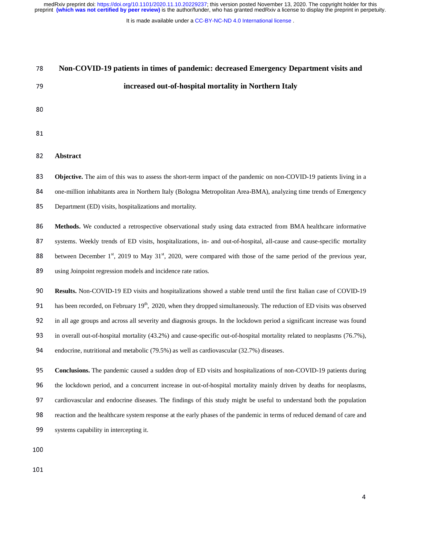It is made available under a [CC-BY-NC-ND 4.0 International license](http://creativecommons.org/licenses/by-nc-nd/4.0/) .

| 78  | Non-COVID-19 patients in times of pandemic: decreased Emergency Department visits and                                                     |
|-----|-------------------------------------------------------------------------------------------------------------------------------------------|
| 79  | increased out-of-hospital mortality in Northern Italy                                                                                     |
| 80  |                                                                                                                                           |
| 81  |                                                                                                                                           |
|     |                                                                                                                                           |
| 82  | <b>Abstract</b>                                                                                                                           |
| 83  | Objective. The aim of this was to assess the short-term impact of the pandemic on non-COVID-19 patients living in a                       |
| 84  | one-million inhabitants area in Northern Italy (Bologna Metropolitan Area-BMA), analyzing time trends of Emergency                        |
| 85  | Department (ED) visits, hospitalizations and mortality.                                                                                   |
| 86  | Methods. We conducted a retrospective observational study using data extracted from BMA healthcare informative                            |
| 87  | systems. Weekly trends of ED visits, hospitalizations, in- and out-of-hospital, all-cause and cause-specific mortality                    |
| 88  | between December 1 <sup>st</sup> , 2019 to May 31 <sup>st</sup> , 2020, were compared with those of the same period of the previous year, |
| 89  | using Joinpoint regression models and incidence rate ratios.                                                                              |
| 90  | Results. Non-COVID-19 ED visits and hospitalizations showed a stable trend until the first Italian case of COVID-19                       |
| 91  | has been recorded, on February $19th$ , 2020, when they dropped simultaneously. The reduction of ED visits was observed                   |
| 92  | in all age groups and across all severity and diagnosis groups. In the lockdown period a significant increase was found                   |
| 93  | in overall out-of-hospital mortality (43.2%) and cause-specific out-of-hospital mortality related to neoplasms (76.7%),                   |
| 94  | endocrine, nutritional and metabolic (79.5%) as well as cardiovascular (32.7%) diseases.                                                  |
| 95  | Conclusions. The pandemic caused a sudden drop of ED visits and hospitalizations of non-COVID-19 patients during                          |
| 96  | the lockdown period, and a concurrent increase in out-of-hospital mortality mainly driven by deaths for neoplasms,                        |
| 97  | cardiovascular and endocrine diseases. The findings of this study might be useful to understand both the population                       |
| 98  | reaction and the healthcare system response at the early phases of the pandemic in terms of reduced demand of care and                    |
| 99  | systems capability in intercepting it.                                                                                                    |
| 100 |                                                                                                                                           |
|     |                                                                                                                                           |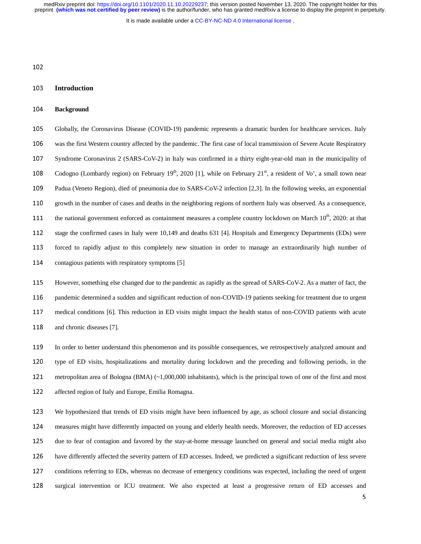It is made available under a CC-BY-NC-ND 4.0 International license.

# <sup>103</sup>**Introduction**

## <sup>104</sup>**Background**

105 Globally, the Coronavirus Disease (COVID-19) pandemic represents a dramatic burden for healthcare services. Italy 106 was the first Western country affected by the pandemic. The first case of local transmission of Severe Acute Respiratory 107 Syndrome Coronavirus 2 (SARS-CoV-2) in Italy was confirmed in a thirty eight-year-old man in the municipality of 108 Codogno (Lombardy region) on February  $19<sup>th</sup>$ , 2020 [1], while on February  $21<sup>st</sup>$ , a resident of Vo', a small town near 109 Padua (Veneto Region), died of pneumonia due to SARS-CoV-2 infection [2,3]. In the following weeks, an exponential 110 growth in the number of cases and deaths in the neighboring regions of northern Italy was observed. As a consequence, 111 the national government enforced as containment measures a complete country lockdown on March  $10<sup>th</sup>$ , 2020: at that 112 stage the confirmed cases in Italy were 10,149 and deaths 631 [4]. Hospitals and Emergency Departments (EDs) were 113 forced to rapidly adjust to this completely new situation in order to manage an extraordinarily high number of 114 contagious patients with respiratory symptoms [5]

115 However, something else changed due to the pandemic as rapidly as the spread of SARS-CoV-2. As a matter of fact, the 116 pandemic determined a sudden and significant reduction of non-COVID-19 patients seeking for treatment due to urgent 117 medical conditions [6]. This reduction in ED visits might impact the health status of non-COVID patients with acute 118 and chronic diseases [7].

<sup>119</sup>In order to better understand this phenomenon and its possible consequences, we retrospectively analyzed amount and 120 type of ED visits, hospitalizations and mortality during lockdown and the preceding and following periods, in the 121 metropolitan area of Bologna (BMA) (~1,000,000 inhabitants), which is the principal town of one of the first and most 122 affected region of Italy and Europe, Emilia Romagna.

<sup>123</sup>We hypothesized that trends of ED visits might have been influenced by age, as school closure and social distancing <sup>124</sup>measures might have differently impacted on young and elderly health needs. Moreover, the reduction of ED accesses 125 due to fear of contagion and favored by the stay-at-home message launched on general and social media might also 126 have differently affected the severity pattern of ED accesses. Indeed, we predicted a significant reduction of less severe 127 conditions referring to EDs, whereas no decrease of emergency conditions was expected, including the need of urgent 128 surgical intervention or ICU treatment. We also expected at least a progressive return of ED accesses and<br>5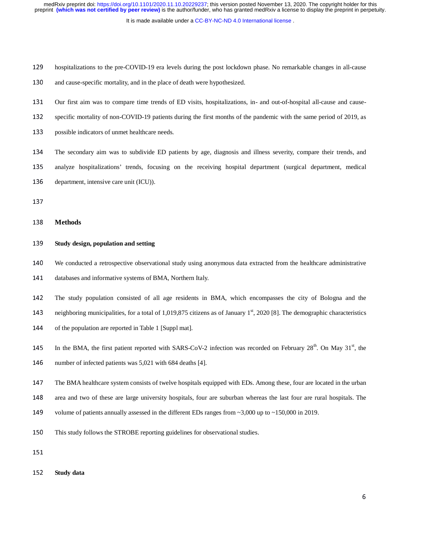It is made available under a CC-BY-NC-ND 4.0 International license.

- 129 hospitalizations to the pre-COVID-19 era levels during the post lockdown phase. No remarkable changes in all-cause
- 130 and cause-specific mortality, and in the place of death were hypothesized.
- 131 Our first aim was to compare time trends of ED visits, hospitalizations, in- and out-of-hospital all-cause and cause-
- 132 specific mortality of non-COVID-19 patients during the first months of the pandemic with the same period of 2019, as
- 133 possible indicators of unmet healthcare needs.
- <sup>134</sup>The secondary aim was to subdivide ED patients by age, diagnosis and illness severity, compare their trends, and
- 135 analyze hospitalizations' trends, focusing on the receiving hospital department (surgical department, medical
- 136 department, intensive care unit (ICU)).
- 
- <sup>138</sup>**Methods**

# <sup>139</sup>**Study design, population and setting**

- <sup>140</sup>We conducted a retrospective observational study using anonymous data extracted from the healthcare administrative
- 141 databases and informative systems of BMA, Northern Italy.
- <sup>142</sup>The study population consisted of all age residents in BMA, which encompasses the city of Bologna and the
- 143 neighboring municipalities, for a total of 1,019,875 citizens as of January  $1<sup>st</sup>$ , 2020 [8]. The demographic characteristics
- 144 of the population are reported in Table 1 [Suppl mat].
- 145 In the BMA, the first patient reported with SARS-CoV-2 infection was recorded on February  $28<sup>th</sup>$ . On May  $31<sup>st</sup>$ , the
- 146 number of infected patients was 5,021 with 684 deaths [4].
- <sup>147</sup>The BMA healthcare system consists of twelve hospitals equipped with EDs. Among these, four are located in the urban
- 148 area and two of these are large university hospitals, four are suburban whereas the last four are rural hospitals. The
- 149 volume of patients annually assessed in the different EDs ranges from  $\sim$ 3,000 up to  $\sim$ 150,000 in 2019.
- 150 This study follows the STROBE reporting guidelines for observational studies.
- 
- <sup>152</sup>**Study data**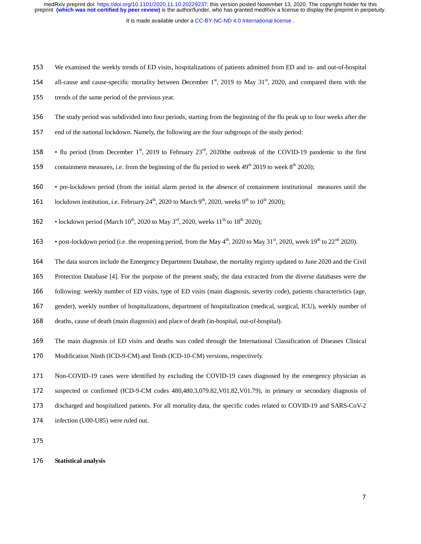It is made available under a CC-BY-NC-ND 4.0 International license.

<sup>153</sup>We examined the weekly trends of ED visits, hospitalizations of patients admitted from ED and in- and out-of-hospital

- 154 all-cause and cause-specific mortality between December  $1<sup>st</sup>$ , 2019 to May 31 $<sup>st</sup>$ , 2020, and compared them with the</sup>
- 155 trends of the same period of the previous year.
- 156 The study period was subdivided into four periods, starting from the beginning of the flu peak up to four weeks after the
- 157 end of the national lockdown. Namely, the following are the four subgroups of the study period:
- 158 flu period (from December 1<sup>st</sup>, 2019 to February  $23<sup>rd</sup>$ , 2020the outbreak of the COVID-19 pandemic to the first
- 159 containment measures, i.e. from the beginning of the flu period to week  $49<sup>th</sup> 2019$  to week  $8<sup>th</sup> 2020$ ;
- <sup>160</sup> pre-lockdown period (from the initial alarm period in the absence of containment institutional measures until the
- 161 lockdown institution, i.e. February 24<sup>th</sup>, 2020 to March 9<sup>th</sup>, 2020, weeks 9<sup>th</sup> to 10<sup>th</sup> 2020);
- **162** lockdown period (March 10<sup>th</sup>, 2020 to May 3<sup>rd</sup>, 2020, weeks 11<sup>th</sup> to 18<sup>th</sup> 2020);
- **163** post-lockdown period (i.e. the reopening period, from the May  $4<sup>th</sup>$ , 2020 to May 31<sup>st</sup>, 2020, week 19<sup>th</sup> to 22<sup>nd</sup> 2020).
- <sup>164</sup>The data sources include the Emergency Department Database, the mortality registry updated to June 2020 and the Civil
- 165 Protection Database [4]. For the purpose of the present study, the data extracted from the diverse databases were the
- <sup>166</sup>following: weekly number of ED visits, type of ED visits (main diagnosis, severity code), patients characteristics (age,
- 167 gender), weekly number of hospitalizations, department of hospitalization (medical, surgical, ICU), weekly number of
- 168 deaths, cause of death (main diagnosis) and place of death (in-hospital, out-of-hospital).
- <sup>169</sup>The main diagnosis of ED visits and deaths was coded through the International Classification of Diseases Clinical
- 170 Modification Ninth (ICD-9-CM) and Tenth (ICD-10-CM) versions, respectively.
- 171 Non-COVID-19 cases were identified by excluding the COVID-19 cases diagnosed by the emergency physician as 172 suspected or confirmed (ICD-9-CM codes 480,480.3,079.82,V01.82,V01.79), in primary or secondary diagnosis of 173 discharged and hospitalized patients. For all mortality data, the specific codes related to COVID-19 and SARS-CoV-2 174 infection (U00-U85) were ruled out.
- 175

# <sup>176</sup>**Statistical analysis**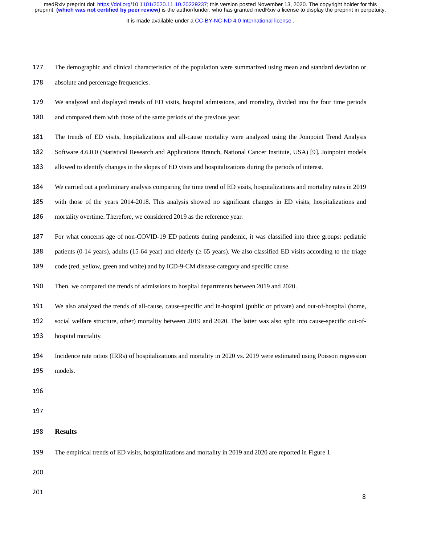It is made available under a CC-BY-NC-ND 4.0 International license.

<sup>177</sup>The demographic and clinical characteristics of the population were summarized using mean and standard deviation or

178 absolute and percentage frequencies.

- <sup>179</sup>We analyzed and displayed trends of ED visits, hospital admissions, and mortality, divided into the four time periods
- 180 and compared them with those of the same periods of the previous year.
- <sup>181</sup>The trends of ED visits, hospitalizations and all-cause mortality were analyzed using the Joinpoint Trend Analysis
- 182 Software 4.6.0.0 (Statistical Research and Applications Branch, National Cancer Institute, USA) [9]. Joinpoint models
- 183 allowed to identify changes in the slopes of ED visits and hospitalizations during the periods of interest.
- <sup>184</sup>We carried out a preliminary analysis comparing the time trend of ED visits, hospitalizations and mortality rates in 2019

185 with those of the years 2014-2018. This analysis showed no significant changes in ED visits, hospitalizations and

- 186 mortality overtime. Therefore, we considered 2019 as the reference year.
- 187 For what concerns age of non-COVID-19 ED patients during pandemic, it was classified into three groups: pediatric
- 188 patients (0-14 years), adults (15-64 year) and elderly ( $\geq$  65 years). We also classified ED visits according to the triage
- 189 code (red, yellow, green and white) and by ICD-9-CM disease category and specific cause.
- 190 Then, we compared the trends of admissions to hospital departments between 2019 and 2020.
- <sup>191</sup>We also analyzed the trends of all-cause, cause-specific and in-hospital (public or private) and out-of-hospital (home,
- 192 social welfare structure, other) mortality between 2019 and 2020. The latter was also split into cause-specific out-of-
- 193 hospital mortality.
- <sup>194</sup>Incidence rate ratios (IRRs) of hospitalizations and mortality in 2020 vs. 2019 were estimated using Poisson regression 195 models.
- 
- 
- <sup>198</sup>**Results**
- <sup>199</sup>The empirical trends of ED visits, hospitalizations and mortality in 2019 and 2020 are reported in Figure 1.

200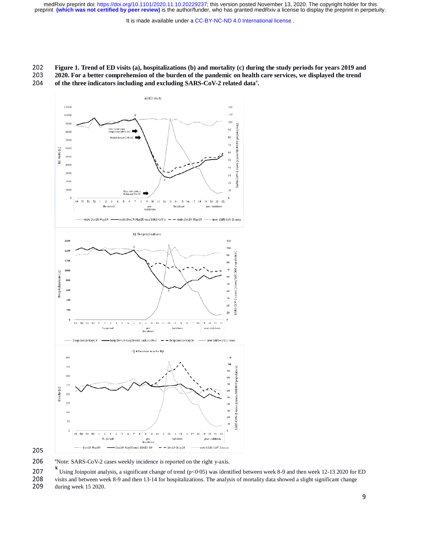It is made available under a [CC-BY-NC-ND 4.0 International license](http://creativecommons.org/licenses/by-nc-nd/4.0/) .

# <sup>202</sup>**Figure 1. Trend of ED visits (a), hospitalizations (b) and mortality (c) during the study periods for years 2019 and**

2020. For a better comprehension of the burden of the pandemic on health care services, we displayed the trend 204 of the three indicators including and excluding SARS-CoV-2 related data<sup>2</sup>. of the three indicators including and excluding SARS-CoV-2 related data<sup>a</sup>.



205

206  $^{\circ}$ Note: SARS-CoV-2 cases weekly incidence is reported on the right y-axis.

**x** 207 Using Joinpoint analysis, a significant change of trend (p<0.05) was identified between week 8-9 and then week 12-13 2020 for ED<br>208 visits and between week 8-9 and then 13-14 for bosnitalizations. The analysis of

208 visits and between week 8-9 and then 13-14 for hospitalizations. The analysis of mortality data showed a slight significant change<br>209 during week 15 2020.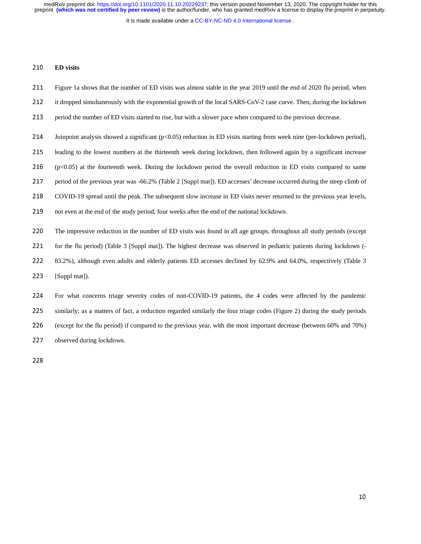It is made available under a CC-BY-NC-ND 4.0 International license.

## <sup>210</sup>**ED visits**

- 211 Figure 1a shows that the number of ED visits was almost stable in the year 2019 until the end of 2020 flu period, when
- 212 it dropped simultaneously with the exponential growth of the local SARS-CoV-2 case curve. Then, during the lockdown
- 213 period the number of ED visits started to rise, but with a slower pace when compared to the previous decrease.
- 214 Joinpoint analysis showed a significant  $(p<0.05)$  reduction in ED visits starting from week nine (pre-lockdown period),
- <sup>215</sup>leading to the lowest numbers at the thirteenth week during lockdown, then followed again by a significant increase
- $216$  (p<0.05) at the fourteenth week. During the lockdown period the overall reduction in ED visits compared to same
- 217 period of the previous year was -66.2% (Table 2 [Suppl mat]). ED accesses' decrease occurred during the steep climb of
- 218 COVID-19 spread until the peak. The subsequent slow increase in ED visits never returned to the previous year levels,
- 219 not even at the end of the study period, four weeks after the end of the national lockdown.
- 220 The impressive reduction in the number of ED visits was found in all age groups, throughout all study periods (except
- 221 for the flu period) (Table 3 [Suppl mat]). The highest decrease was observed in pediatric patients during lockdown (-
- 222 83.2%), although even adults and elderly patients ED accesses declined by 62.9% and 64.0%, respectively (Table 3
- 223 [Suppl mat]).

224 For what concerns triage severity codes of non-COVID-19 patients, the 4 codes were affected by the pandemic 225 similarly; as a matters of fact, a reduction regarded similarly the four triage codes (Figure 2) during the study periods <sup>226</sup>(except for the flu period) if compared to the previous year, with the most important decrease (between 60% and 70%) 227 observed during lockdown.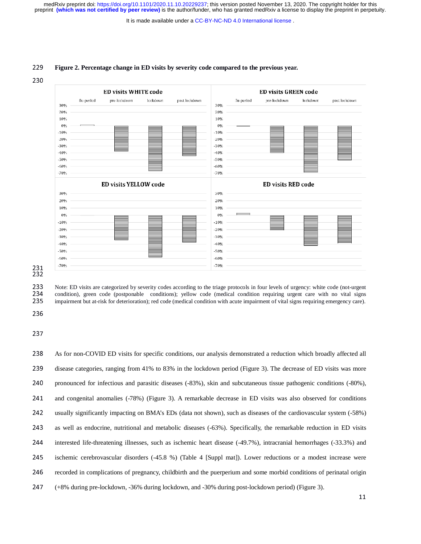It is made available under a CC-BY-NC-ND 4.0 International license.

## <sup>229</sup>**Figure 2. Percentage change in ED visits by severity code compared to the previous year.**





231<br>232<br>233

233 Note: ED visits are categorized by severity codes according to the triage protocols in four levels of urgency: white code (not-urgent 234 condition), green code (postponable conditions); vellow code (medical condition 234 condition), green code (postponable conditions); yellow code (medical condition requiring urgent care with no vital signs impairment but at-risk for deterioration); red code (medical condition with acute impairment of 235 impairment but at-risk for deterioration); red code (medical condition with acute impairment of vital signs requiring emergency care).<br>236

238 As for non-COVID ED visits for specific conditions, our analysis demonstrated a reduction which broadly affected all 239 disease categories, ranging from 41% to 83% in the lockdown period (Figure 3). The decrease of ED visits was more 240 pronounced for infectious and parasitic diseases (-83%), skin and subcutaneous tissue pathogenic conditions (-80%), 241 and congenital anomalies (-78%) (Figure 3). A remarkable decrease in ED visits was also observed for conditions <sup>242</sup>usually significantly impacting on BMA's EDs (data not shown), such as diseases of the cardiovascular system (-58%) 243 as well as endocrine, nutritional and metabolic diseases (-63%). Specifically, the remarkable reduction in ED visits 244 interested life-threatening illnesses, such as ischemic heart disease (-49.7%), intracranial hemorrhages (-33.3%) and 245 ischemic cerebrovascular disorders (-45.8 %) (Table 4 [Suppl mat]). Lower reductions or a modest increase were 246 recorded in complications of pregnancy, childbirth and the puerperium and some morbid conditions of perinatal origin <sup>247</sup>(+8% during pre-lockdown, -36% during lockdown, and -30% during post-lockdown period) (Figure 3).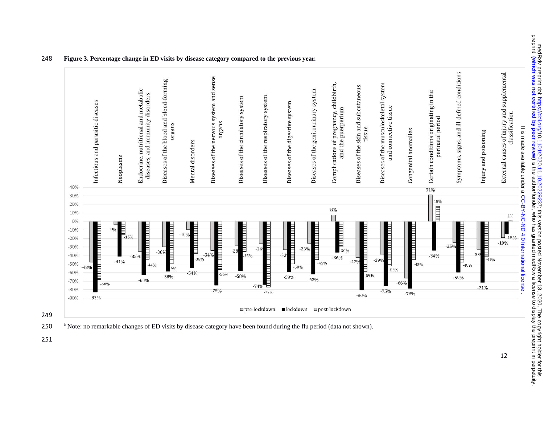

#### 248 **Figure 3. Percentage change in ED visits by disease category compared to the previous year.**

249



251

medRxiv preprint doi: https://doi.org/10.1101/2020.11.10.20229237; this version posted November 13, 2020. The copyright holder for this<br>preprint (which was not certified by peer review) is the author/funder, who has grante is the presult of the authory funder medical state to display is the author/funder, she seeked and prepriation in perpetuity. (which was not certified by peer reprint in perpetuity. In perpetuity,  $\alpha$ medRxx preprint doi: https://doi.org/10.1101/2020. [;](https://doi.org/10.1101/2020.11.10.20229237) 11.010229237; #Jis version posted November 13, 2020. In a doyingtr to https://doi.org/10.1101/2020. ; 12: 2020.2020. The dopyright to html

12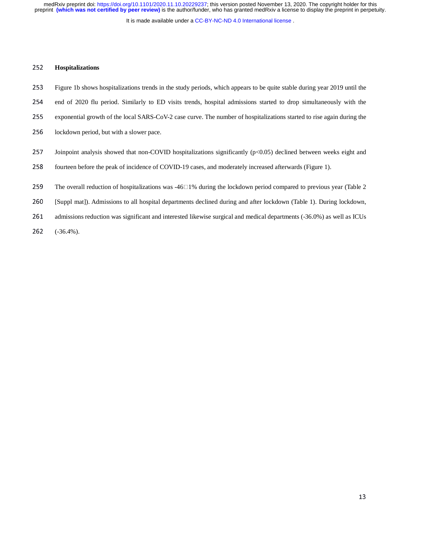It is made available under a CC-BY-NC-ND 4.0 International license.

## <sup>252</sup>**Hospitalizations**

- 253 Figure 1b shows hospitalizations trends in the study periods, which appears to be quite stable during year 2019 until the
- 254 end of 2020 flu period. Similarly to ED visits trends, hospital admissions started to drop simultaneously with the
- 255 exponential growth of the local SARS-CoV-2 case curve. The number of hospitalizations started to rise again during the
- 256 lockdown period, but with a slower pace.
- 257 Joinpoint analysis showed that non-COVID hospitalizations significantly  $(p<0.05)$  declined between weeks eight and
- 258 fourteen before the peak of incidence of COVID-19 cases, and moderately increased afterwards (Figure 1).
- 259 The overall reduction of hospitalizations was  $-46\degree1\%$  during the lockdown period compared to previous year (Table 2)
- <sup>260</sup>[Suppl mat]). Admissions to all hospital departments declined during and after lockdown (Table 1). During lockdown,
- 261 admissions reduction was significant and interested likewise surgical and medical departments (-36.0%) as well as ICUs
- <sup>262</sup>(-36.4%).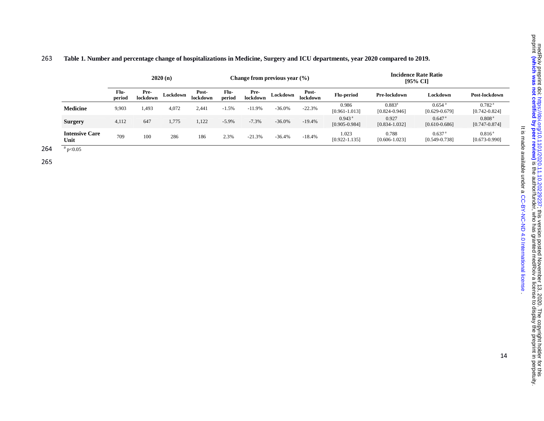|                               |                |                  | 2020(n)  |                   |                | Change from previous year $(\% )$ |          |                          |                                           | <b>Incidence Rate Ratio</b><br>[95% CI] |                                           |                                         |  |
|-------------------------------|----------------|------------------|----------|-------------------|----------------|-----------------------------------|----------|--------------------------|-------------------------------------------|-----------------------------------------|-------------------------------------------|-----------------------------------------|--|
|                               | Flu-<br>period | Pre-<br>lockdown | Lockdown | Post-<br>lockdown | Flu-<br>period | Pre-<br>lockdown                  | Lockdown | Post-<br><b>lockdown</b> | <b>Flu-period</b>                         | Pre-lockdown                            | Lockdown                                  | Post-lockdown                           |  |
| Medicine                      | 9,903          | 1,493            | 4,072    | 2,441             | $-1.5%$        | $-11.9%$                          | $-36.0%$ | $-22.3%$                 | 0.986<br>$[0.961 - 1.013]$                | $0.883^a$<br>$[0.824 - 0.946]$          | $0.654$ <sup>a</sup><br>$[0.629 - 0.679]$ | 0.782 <sup>a</sup><br>$[0.742 - 0.824]$ |  |
| <b>Surgery</b>                | 4,112          | 647              | 1,775    | 1,122             | $-5.9\%$       | $-7.3%$                           | $-36.0%$ | $-19.4%$                 | $0.943$ <sup>a</sup><br>$[0.905 - 0.984]$ | 0.927<br>$[0.834 - 1.032]$              | $0.647$ <sup>a</sup><br>$[0.610 - 0.686]$ | 0.808 <sup>a</sup><br>$[0.747 - 0.874]$ |  |
| <b>Intensive Care</b><br>Unit | 709            | 100              | 286      | 186               | 2.3%           | $-21.3%$                          | $-36.4%$ | $-18.4%$                 | 1.023<br>$[0.922 - 1.135]$                | 0.788<br>$[0.606 - 1.023]$              | 0.637 <sup>a</sup><br>$[0.549 - 0.738]$   | $0.816^{\rm a}$<br>$[0.673 - 0.990]$    |  |

# 263 **Table 1. Number and percentage change of hospitalizations in Medicine, Surgery and ICU departments, year 2020 compared to 2019.**

264  $a_{p<0.05}$ 

265

. [CC-BY-NC-ND 4.0 International license](http://creativecommons.org/licenses/by-nc-nd/4.0/) It is made available under a

It is made available under a CC-BY-NC-ND 4.0 International license

14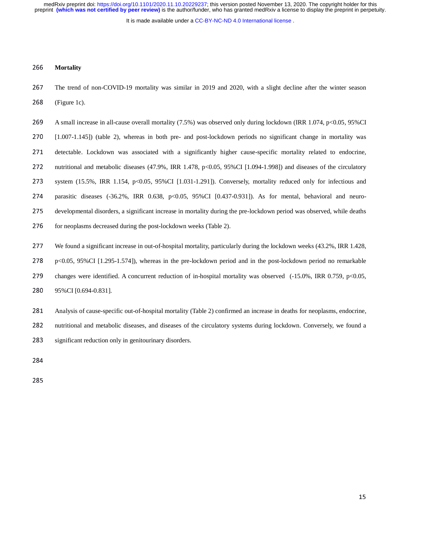It is made available under a CC-BY-NC-ND 4.0 International license.

## <sup>266</sup>**Mortality**

267 The trend of non-COVID-19 mortality was similar in 2019 and 2020, with a slight decline after the winter season <sup>268</sup>(Figure 1c).

269 A small increase in all-cause overall mortality (7.5%) was observed only during lockdown (IRR 1.074, p<0.05, 95%CI <sup>270</sup>[1.007-1.145]) (table 2), whereas in both pre- and post-lockdown periods no significant change in mortality was 271 detectable. Lockdown was associated with a significantly higher cause-specific mortality related to endocrine, 272 nutritional and metabolic diseases (47.9%, IRR 1.478, p<0.05, 95%CI [1.094-1.998]) and diseases of the circulatory 273 system (15.5%, IRR 1.154, p<0.05, 95%CI [1.031-1.291]). Conversely, mortality reduced only for infectious and 274 parasitic diseases (-36.2%, IRR 0.638, p<0.05, 95%CI [0.437-0.931]). As for mental, behavioral and neuro-275 developmental disorders, a significant increase in mortality during the pre-lockdown period was observed, while deaths 276 for neoplasms decreased during the post-lockdown weeks (Table 2). 277 We found a significant increase in out-of-hospital mortality, particularly during the lockdown weeks (43.2%, IRR 1.428,  $278$  p<0.05, 95%CI [1.295-1.574]), whereas in the pre-lockdown period and in the post-lockdown period no remarkable 279 changes were identified. A concurrent reduction of in-hospital mortality was observed (-15.0%, IRR 0.759, p<0.05, 280 95%CI [0.694-0.831].

<sup>281</sup>Analysis of cause-specific out-of-hospital mortality (Table 2) confirmed an increase in deaths for neoplasms, endocrine, 282 nutritional and metabolic diseases, and diseases of the circulatory systems during lockdown. Conversely, we found a 283 significant reduction only in genitourinary disorders.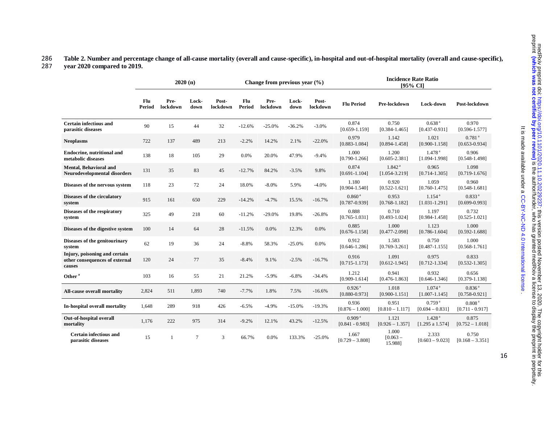# 286 **Table 2. Number and percentage change of all-cause mortality (overall and cause-specific), in-hospital and out-of-hospital mortality (overall and cause-specific),**  287 **year 2020 compared to 2019.**

|                                                                           |               |                  | 2020(n)        |                   |               | Change from previous year $(\% )$ |               |                   | <b>Incidence Rate Ratio</b><br>[95% CI]   |                                         |                                           |                                           |
|---------------------------------------------------------------------------|---------------|------------------|----------------|-------------------|---------------|-----------------------------------|---------------|-------------------|-------------------------------------------|-----------------------------------------|-------------------------------------------|-------------------------------------------|
|                                                                           | Flu<br>Period | Pre-<br>lockdown | Lock-<br>down  | Post-<br>lockdown | Flu<br>Period | Pre-<br>lockdown                  | Lock-<br>down | Post-<br>lockdown | <b>Flu Period</b>                         | Pre-lockdown                            | Lock-down                                 | Post-lockdown                             |
| Certain infectious and<br>parasitic diseases                              | 90            | 15               | 44             | 32                | $-12.6%$      | $-25.0%$                          | $-36.2%$      | $-3.0%$           | 0.874<br>$[0.659 - 1.159]$                | 0.750<br>$[0.384 - 1.465]$              | 0.638 <sup>a</sup><br>$[0.437 - 0.931]$   | 0.970<br>$[0.596 - 1.577]$                |
| <b>Neoplasms</b>                                                          | 722           | 137              | 489            | 213               | $-2.2%$       | 14.2%                             | 2.1%          | $-22.0%$          | 0.979<br>$[0.883 - 1.084]$                | 1.142<br>$[0.894 - 1.458]$              | 1.021<br>$[0.900 - 1.158]$                | $0.781$ <sup>a</sup><br>$[0.653 - 0.934]$ |
| <b>Endocrine, nutritional and</b><br>metabolic diseases                   | 138           | 18               | 105            | 29                | 0.0%          | 20.0%                             | 47.9%         | $-9.4%$           | 1.000<br>$[0.790 - 1.266]$                | 1.200<br>$[0.605 - 2.381]$              | 1.478 <sup>a</sup><br>$[1.094 - 1.998]$   | 0.906<br>$[0.548 - 1.498]$                |
| <b>Mental, Behavioral and</b><br>Neurodevelopmental disorders             | 131           | 35               | 83             | 45                | $-12.7%$      | 84.2%                             | $-3.5%$       | 9.8%              | 0.874<br>$[0.691 - 1.104]$                | 1.842 <sup>a</sup><br>$[1.054 - 3.219]$ | 0.965<br>$[0.714 - 1.305]$                | 1.098<br>$[0.719 - 1.676]$                |
| Diseases of the nervous system                                            | 118           | 23               | 72             | 24                | 18.0%         | $-8.0%$                           | 5.9%          | $-4.0%$           | 1.180<br>$[0.904 - 1.540]$                | 0.920<br>$[0.522 - 1.621]$              | 1.059<br>$[0.760 - 1.475]$                | 0.960<br>$[0.548 - 1.681]$                |
| Diseases of the circulatory<br>system                                     | 915           | 161              | 650            | 229               | $-14.2%$      | $-4.7%$                           | 15.5%         | $-16.7%$          | 0.860 <sup>a</sup><br>$[0.787 - 0.939]$   | 0.953<br>$[0.768 - 1.182]$              | $1.154$ <sup>a</sup><br>$[1.031 - 1.291]$ | 0.833 <sup>a</sup><br>$[0.699 - 0.993]$   |
| Diseases of the respiratory<br>system                                     | 325           | 49               | 218            | 60                | $-11.2%$      | $-29.0%$                          | 19.8%         | $-26.8%$          | 0.888<br>$[0.765 - 1.031]$                | 0.710<br>$[0.493 - 1.024]$              | 1.197<br>$[0.984 - 1.458]$                | 0.732<br>$[0.525 - 1.021]$                |
| Diseases of the digestive system                                          | 100           | 14               | 64             | 28                | $-11.5%$      | 0.0%                              | 12.3%         | 0.0%              | 0.885<br>$[0.676 - 1.158]$                | 1.000<br>$[0.477 - 2.098]$              | 1.123<br>$[0.786 - 1.604]$                | 1.000<br>$[0.592 - 1.688]$                |
| Diseases of the genitourinary<br>svstem                                   | 62            | 19               | 36             | 24                | $-8.8%$       | 58.3%                             | $-25.0%$      | 0.0%              | 0.912<br>$[0.646 - 1.286]$                | 1.583<br>$[0.769 - 3.261]$              | 0.750<br>$[0.487 - 1.155]$                | 1.000<br>$[0.568 - 1.761]$                |
| Injury, poisoning and certain<br>other consequences of external<br>causes | 120           | 24               | 77             | 35                | $-8.4%$       | 9.1%                              | $-2.5%$       | $-16.7%$          | 0.916<br>$[0.715 - 1.173]$                | 1.091<br>$[0.612 - 1.945]$              | 0.975<br>$[0.712 - 1.334]$                | 0.833<br>$[0.532 - 1.305]$                |
| Other <sup>a</sup>                                                        | 103           | 16               | 55             | 21                | 21.2%         | $-5.9\%$                          | $-6.8%$       | $-34.4%$          | 1.212<br>$[0.909 - 1.614]$                | 0.941<br>$[0.476 - 1.863]$              | 0.932<br>$[0.646 - 1.346]$                | 0.656<br>$[0.379 - 1.138]$                |
| All-cause overall mortality                                               | 2,824         | 511              | 1,893          | 740               | $-7.7%$       | 1.8%                              | 7.5%          | $-16.6%$          | $0.926$ <sup>a</sup><br>$[0.880 - 0.973]$ | 1.018<br>$[0.900 - 1.151]$              | $1.074$ <sup>a</sup><br>$[1.007 - 1.145]$ | 0.836 <sup>a</sup><br>$[0.758 - 0.921]$   |
| In-hospital overall mortality                                             | 1.648         | 289              | 918            | 426               | $-6.5%$       | $-4.9%$                           | $-15.0%$      | $-19.3%$          | 0.936<br>$[0.876 - 1.000]$                | 0.951<br>$[0.810 - 1.117]$              | $0.759$ <sup>a</sup><br>$[0.694 - 0.831]$ | 0.808 <sup>a</sup><br>$[0.711 - 0.917]$   |
| Out-of-hospital overall<br>mortality                                      | 1,176         | 222              | 975            | 314               | $-9.2%$       | 12.1%                             | 43.2%         | $-12.5%$          | 0.909 <sup>a</sup><br>$[0.841 - 0.983]$   | 1.121<br>$[0.926 - 1.357]$              | 1.428 <sup>a</sup><br>[1.295 a 1.574]     | 0.875<br>$[0.752 - 1.018]$                |
| Certain infectious and<br>parasitic diseases                              | 15            | $\mathbf{1}$     | $\overline{7}$ | 3                 | 66.7%         | 0.0%                              | 133.3%        | $-25.0%$          | 1.667<br>$[0.729 - 3.808]$                | 1.000<br>$[0.063 -$<br>15.9881          | 2.333<br>$[0.603 - 9.023]$                | 0.750<br>$[0.168 - 3.351]$                |

. [CC-BY-NC-ND 4.0 International license](http://creativecommons.org/licenses/by-nc-nd/4.0/) It is made available under a

It is made available under a CC-BY-NC-ND 4.0 International license

16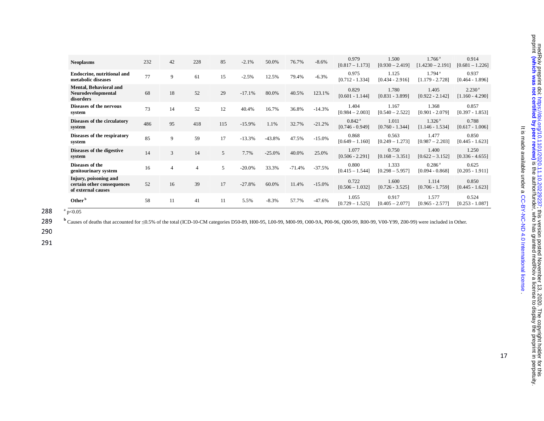| <b>Neoplasms</b>                                                          | 232 | 42 | 228            | 85  | $-2.1%$  | 50.0%    | 76.7%    | $-8.6%$  | 0.979<br>$[0.817 - 1.173]$              | 1.500<br>$[0.930 - 2.419]$ | $1.766^{\text{ a}}$<br>$[1.4230 - 2.191]$ | 0.914<br>$[0.681 - 1.226]$              |
|---------------------------------------------------------------------------|-----|----|----------------|-----|----------|----------|----------|----------|-----------------------------------------|----------------------------|-------------------------------------------|-----------------------------------------|
| <b>Endocrine, nutritional and</b><br>metabolic diseases                   | 77  | 9  | 61             | 15  | $-2.5%$  | 12.5%    | 79.4%    | $-6.3%$  | 0.975<br>$[0.712 - 1.334]$              | 1.125<br>$[0.434 - 2.916]$ | 1.794 <sup>a</sup><br>$[1.179 - 2.728]$   | 0.937<br>$[0.464 - 1.896]$              |
| <b>Mental, Behavioral and</b><br>Neurodevelopmental<br>disorders          | 68  | 18 | 52             | 29  | $-17.1%$ | 80.0%    | 40.5%    | 123.1%   | 0.829<br>$[0.601 - 1.144]$              | 1.780<br>$[0.831 - 3.899]$ | 1.405<br>$[0.922 - 2.142]$                | 2.230 <sup>a</sup><br>$[1.160 - 4.290]$ |
| Diseases of the nervous<br>system                                         | 73  | 14 | 52             | 12  | 40.4%    | 16.7%    | 36.8%    | $-14.3%$ | 1.404<br>$[0.984 - 2.003]$              | 1.167<br>$[0.540 - 2.522]$ | 1.368<br>$[0.901 - 2.079]$                | 0.857<br>$[0.397 - 1.853]$              |
| Diseases of the circulatory<br>system                                     | 486 | 95 | 418            | 115 | $-15.9%$ | 1.1%     | 32.7%    | $-21.2%$ | 0.842 <sup>a</sup><br>$[0.746 - 0.949]$ | 1.011<br>$[0.760 - 1.344]$ | 1.326 <sup>a</sup><br>$[1.146 - 1.534]$   | 0.788<br>$[0.617 - 1.006]$              |
| Diseases of the respiratory<br>system                                     | 85  | 9  | 59             | 17  | $-13.3%$ | $-43.8%$ | 47.5%    | $-15.0%$ | 0.868<br>$[0.649 - 1.160]$              | 0.563<br>$[0.249 - 1.273]$ | 1.477<br>$[0.987 - 2.203]$                | 0.850<br>$[0.445 - 1.623]$              |
| Diseases of the digestive<br>system                                       | 14  | 3  | 14             | 5   | 7.7%     | $-25.0%$ | 40.0%    | 25.0%    | 1.077<br>$[0.506 - 2.291]$              | 0.750<br>$[0.168 - 3.351]$ | 1.400<br>$[0.622 - 3.152]$                | 1.250<br>$[0.336 - 4.655]$              |
| Diseases of the<br>genitourinary system                                   | 16  | 4  | $\overline{4}$ | 5   | $-20.0%$ | 33.3%    | $-71.4%$ | $-37.5%$ | 0.800<br>$[0.415 - 1.544]$              | 1.333<br>$[0.298 - 5.957]$ | 0.286 <sup>a</sup><br>$[0.094 - 0.868]$   | 0.625<br>$[0.205 - 1.911]$              |
| Injury, poisoning and<br>certain other consequences<br>of external causes | 52  | 16 | 39             | 17  | $-27.8%$ | 60.0%    | 11.4%    | $-15.0%$ | 0.722<br>$[0.506 - 1.032]$              | 1.600<br>$[0.726 - 3.525]$ | 1.114<br>$[0.706 - 1.759]$                | 0.850<br>$[0.445 - 1.623]$              |
| Other $b$                                                                 | 58  | 11 | 41             | 11  | 5.5%     | $-8.3%$  | 57.7%    | $-47.6%$ | 1.055<br>$[0.729 - 1.525]$              | 0.917<br>$[0.405 - 2.077]$ | 1.577<br>$[0.965 - 2.577]$                | 0.524<br>$[0.253 - 1.087]$              |

**289** <sup>b</sup> Causes of deaths that accounted for ≤0.5% of the total (ICD-10-CM categories D50-89, H00-95, L00-99, M00-99, O00-9A, P00-96, Q00-99, R00-99, V00-Y99, Z00-99) were included in Other.

290

291

. [CC-BY-NC-ND 4.0 International license](http://creativecommons.org/licenses/by-nc-nd/4.0/) It is made available under a

It is made available under a CC-BY-NC-ND 4.0 International license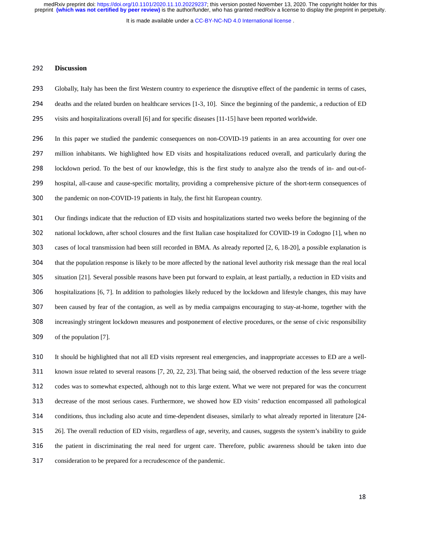It is made available under a CC-BY-NC-ND 4.0 International license.

## <sup>292</sup>**Discussion**

- <sup>293</sup>Globally, Italy has been the first Western country to experience the disruptive effect of the pandemic in terms of cases,
- 294 deaths and the related burden on healthcare services [1-3, 10]. Since the beginning of the pandemic, a reduction of ED
- 295 visits and hospitalizations overall [6] and for specific diseases [11-15] have been reported worldwide.

296 In this paper we studied the pandemic consequences on non-COVID-19 patients in an area accounting for over one 297 million inhabitants. We highlighted how ED visits and hospitalizations reduced overall, and particularly during the 298 lockdown period. To the best of our knowledge, this is the first study to analyze also the trends of in- and out-of-299 hospital, all-cause and cause-specific mortality, providing a comprehensive picture of the short-term consequences of 300 the pandemic on non-COVID-19 patients in Italy, the first hit European country.

301 Our findings indicate that the reduction of ED visits and hospitalizations started two weeks before the beginning of the <sup>302</sup>national lockdown, after school closures and the first Italian case hospitalized for COVID-19 in Codogno [1], when no 303 cases of local transmission had been still recorded in BMA. As already reported [2, 6, 18-20], a possible explanation is 304 that the population response is likely to be more affected by the national level authority risk message than the real local 305 situation [21]. Several possible reasons have been put forward to explain, at least partially, a reduction in ED visits and 306 hospitalizations [6, 7]. In addition to pathologies likely reduced by the lockdown and lifestyle changes, this may have <sup>307</sup>been caused by fear of the contagion, as well as by media campaigns encouraging to stay-at-home, together with the 308 increasingly stringent lockdown measures and postponement of elective procedures, or the sense of civic responsibility 309 of the population [7].

310 It should be highlighted that not all ED visits represent real emergencies, and inappropriate accesses to ED are a well-311 known issue related to several reasons [7, 20, 22, 23]. That being said, the observed reduction of the less severe triage 312 codes was to somewhat expected, although not to this large extent. What we were not prepared for was the concurrent <sup>313</sup>decrease of the most serious cases. Furthermore, we showed how ED visits' reduction encompassed all pathological 314 conditions, thus including also acute and time-dependent diseases, similarly to what already reported in literature [24-315 26]. The overall reduction of ED visits, regardless of age, severity, and causes, suggests the system's inability to guide 316 the patient in discriminating the real need for urgent care. Therefore, public awareness should be taken into due 317 consideration to be prepared for a recrudescence of the pandemic.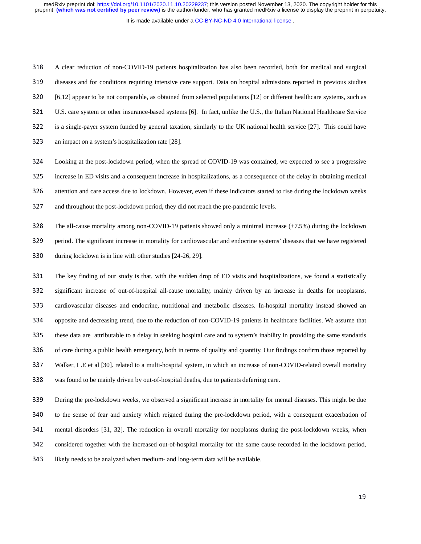It is made available under a [CC-BY-NC-ND 4.0 International license](http://creativecommons.org/licenses/by-nc-nd/4.0/) .

<sup>318</sup>A clear reduction of non-COVID-19 patients hospitalization has also been recorded, both for medical and surgical 319 diseases and for conditions requiring intensive care support. Data on hospital admissions reported in previous studies <sup>320</sup>[6,12] appear to be not comparable, as obtained from selected populations [12] or different healthcare systems, such as <sup>321</sup>U.S. care system or other insurance-based systems [6]. In fact, unlike the U.S., the Italian National Healthcare Service 322 is a single-payer system funded by general taxation, similarly to the UK national health service [27]. This could have 323 an impact on a system's hospitalization rate [28].

<sup>324</sup>Looking at the post-lockdown period, when the spread of COVID-19 was contained, we expected to see a progressive <sup>325</sup>increase in ED visits and a consequent increase in hospitalizations, as a consequence of the delay in obtaining medical 326 attention and care access due to lockdown. However, even if these indicators started to rise during the lockdown weeks 327 and throughout the post-lockdown period, they did not reach the pre-pandemic levels.

<sup>328</sup>The all-cause mortality among non-COVID-19 patients showed only a minimal increase (+7.5%) during the lockdown 329 period. The significant increase in mortality for cardiovascular and endocrine systems' diseases that we have registered 330 during lockdown is in line with other studies [24-26, 29].

331 The key finding of our study is that, with the sudden drop of ED visits and hospitalizations, we found a statistically <sup>332</sup>significant increase of out-of-hospital all-cause mortality, mainly driven by an increase in deaths for neoplasms, 333 cardiovascular diseases and endocrine, nutritional and metabolic diseases. In-hospital mortality instead showed an 334 opposite and decreasing trend, due to the reduction of non-COVID-19 patients in healthcare facilities. We assume that 335 these data are attributable to a delay in seeking hospital care and to system's inability in providing the same standards 336 of care during a public health emergency, both in terms of quality and quantity. Our findings confirm those reported by <sup>337</sup>Walker, L.E et al [30]. related to a multi-hospital system, in which an increase of non-COVID-related overall mortality 338 was found to be mainly driven by out-of-hospital deaths, due to patients deferring care.

<sup>339</sup>During the pre-lockdown weeks, we observed a significant increase in mortality for mental diseases. This might be due 340 to the sense of fear and anxiety which reigned during the pre-lockdown period, with a consequent exacerbation of <sup>341</sup>mental disorders [31, 32]. The reduction in overall mortality for neoplasms during the post-lockdown weeks, when 342 considered together with the increased out-of-hospital mortality for the same cause recorded in the lockdown period, 343 likely needs to be analyzed when medium- and long-term data will be available.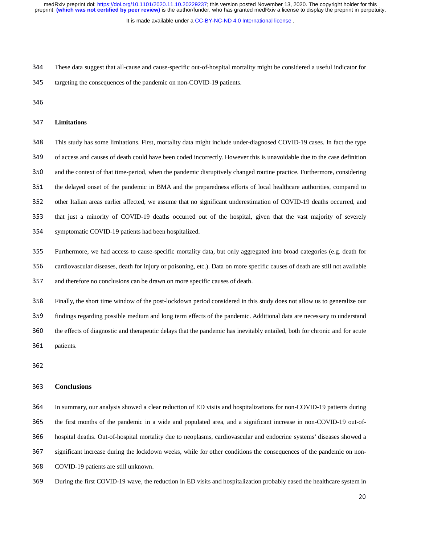It is made available under a CC-BY-NC-ND 4.0 International license.

- <sup>344</sup>These data suggest that all-cause and cause-specific out-of-hospital mortality might be considered a useful indicator for
- 345 targeting the consequences of the pandemic on non-COVID-19 patients.
- 

## <sup>347</sup>**Limitations**

<sup>348</sup>This study has some limitations. First, mortality data might include under-diagnosed COVID-19 cases. In fact the type 349 of access and causes of death could have been coded incorrectly. However this is unavoidable due to the case definition 350 and the context of that time-period, when the pandemic disruptively changed routine practice. Furthermore, considering 351 the delayed onset of the pandemic in BMA and the preparedness efforts of local healthcare authorities, compared to 352 other Italian areas earlier affected, we assume that no significant underestimation of COVID-19 deaths occurred, and 353 that just a minority of COVID-19 deaths occurred out of the hospital, given that the vast majority of severely 354 symptomatic COVID-19 patients had been hospitalized.

- <sup>355</sup>Furthermore, we had access to cause-specific mortality data, but only aggregated into broad categories (e.g. death for 356 cardiovascular diseases, death for injury or poisoning, etc.). Data on more specific causes of death are still not available 357 and therefore no conclusions can be drawn on more specific causes of death.
- <sup>358</sup>Finally, the short time window of the post-lockdown period considered in this study does not allow us to generalize our 359 findings regarding possible medium and long term effects of the pandemic. Additional data are necessary to understand 360 the effects of diagnostic and therapeutic delays that the pandemic has inevitably entailed, both for chronic and for acute 361 patients.
- 

## <sup>363</sup>**Conclusions**

In summary, our analysis showed a clear reduction of ED visits and hospitalizations for non-COVID-19 patients during the first months of the pandemic in a wide and populated area, and a significant increase in non-COVID-19 out-of-hospital deaths. Out-of-hospital mortality due to neoplasms, cardiovascular and endocrine systems' diseases showed a significant increase during the lockdown weeks, while for other conditions the consequences of the pandemic on non-368 COVID-19 patients are still unknown.

<sup>369</sup>During the first COVID-19 wave, the reduction in ED visits and hospitalization probably eased the healthcare system in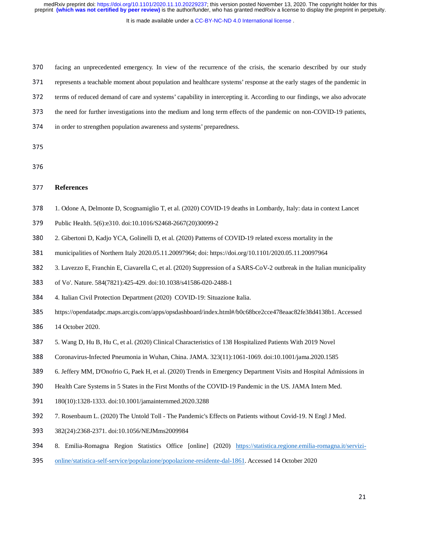It is made available under a CC-BY-NC-ND 4.0 International license.

370 facing an unprecedented emergency. In view of the recurrence of the crisis, the scenario described by our study 371 represents a teachable moment about population and healthcare systems' response at the early stages of the pandemic in

372 terms of reduced demand of care and systems' capability in intercepting it. According to our findings, we also advocate

373 the need for further investigations into the medium and long term effects of the pandemic on non-COVID-19 patients,

- 374 in order to strengthen population awareness and systems' preparedness.
- 
- 

## <sup>377</sup>**References**

- <sup>378</sup>1. Odone A, Delmonte D, Scognamiglio T, et al. (2020) COVID-19 deaths in Lombardy, Italy: data in context Lancet
- 379 Public Health. 5(6):e310. doi:10.1016/S2468-2667(20)30099-2
- <sup>380</sup>2. Gibertoni D, Kadjo YCA, Golinelli D, et al. (2020) Patterns of COVID-19 related excess mortality in the
- <sup>381</sup>municipalities of Northern Italy 2020.05.11.20097964; doi: https://doi.org/10.1101/2020.05.11.20097964
- <sup>382</sup>3. Lavezzo E, Franchin E, Ciavarella C, et al. (2020) Suppression of a SARS-CoV-2 outbreak in the Italian municipality
- 383 of Vo'. Nature. 584(7821):425-429. doi:10.1038/s41586-020-2488-1
- <sup>384</sup>4. Italian Civil Protection Department (2020) COVID-19: Situazione Italia.
- <sup>385</sup>https://opendatadpc.maps.arcgis.com/apps/opsdashboard/index.html#/b0c68bce2cce478eaac82fe38d4138b1. Accessed
- 386 14 October 2020.
- <sup>387</sup>5. Wang D, Hu B, Hu C, et al. (2020) Clinical Characteristics of 138 Hospitalized Patients With 2019 Novel
- <sup>388</sup>Coronavirus-Infected Pneumonia in Wuhan, China. JAMA. 323(11):1061-1069. doi:10.1001/jama.2020.1585
- <sup>389</sup>6. Jeffery MM, D'Onofrio G, Paek H, et al. (2020) Trends in Emergency Department Visits and Hospital Admissions in
- <sup>390</sup>Health Care Systems in 5 States in the First Months of the COVID-19 Pandemic in the US. JAMA Intern Med.
- <sup>391</sup>180(10):1328-1333. doi:10.1001/jamainternmed.2020.3288
- <sup>392</sup>7. Rosenbaum L. (2020) The Untold Toll The Pandemic's Effects on Patients without Covid-19. N Engl J Med.
- <sup>393</sup>382(24):2368-2371. doi:10.1056/NEJMms2009984
- 394 8. Emilia-Romagna Region Statistics Office [online] (2020) https://statistica.regione.emilia-romagna.it/servizi-
- 395 online/statistica-self-service/popolazione/popolazione-residente-dal-1861. Accessed 14 October 2020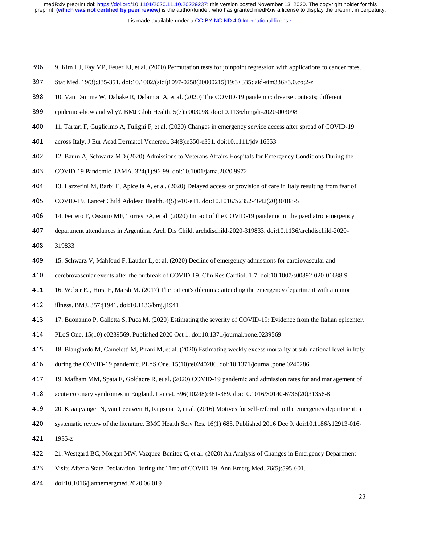It is made available under a CC-BY-NC-ND 4.0 International license.

- <sup>396</sup>9. Kim HJ, Fay MP, Feuer EJ, et al. (2000) Permutation tests for joinpoint regression with applications to cancer rates.
- 397 Stat Med. 19(3):335-351. doi:10.1002/(sici)1097-0258(20000215)19:3<335::aid-sim336>3.0.co;2-z
- <sup>398</sup>10. Van Damme W, Dahake R, Delamou A, et al. (2020) The COVID-19 pandemic: diverse contexts; different
- <sup>399</sup>epidemics-how and why?. BMJ Glob Health. 5(7):e003098. doi:10.1136/bmjgh-2020-003098
- 400 11. Tartari F, Guglielmo A, Fuligni F, et al. (2020) Changes in emergency service access after spread of COVID-19
- 401 across Italy. J Eur Acad Dermatol Venereol. 34(8):e350-e351. doi:10.1111/jdv.16553
- <sup>402</sup>12. Baum A, Schwartz MD (2020) Admissions to Veterans Affairs Hospitals for Emergency Conditions During the
- <sup>403</sup>COVID-19 Pandemic. JAMA. 324(1):96-99. doi:10.1001/jama.2020.9972
- <sup>404</sup>13. Lazzerini M, Barbi E, Apicella A, et al. (2020) Delayed access or provision of care in Italy resulting from fear of
- 405 COVID-19. Lancet Child Adolesc Health. 4(5):e10-e11. doi:10.1016/S2352-4642(20)30108-5
- 406 14. Ferrero F, Ossorio MF, Torres FA, et al. (2020) Impact of the COVID-19 pandemic in the paediatric emergency
- 407 department attendances in Argentina. Arch Dis Child. archdischild-2020-319833. doi:10.1136/archdischild-2020-
- 408 319833
- 409 15. Schwarz V, Mahfoud F, Lauder L, et al. (2020) Decline of emergency admissions for cardiovascular and
- <sup>410</sup>cerebrovascular events after the outbreak of COVID-19. Clin Res Cardiol. 1-7. doi:10.1007/s00392-020-01688-9
- 411 16. Weber EJ, Hirst E, Marsh M. (2017) The patient's dilemma: attending the emergency department with a minor
- 412 illness. BMJ. 357:j1941. doi:10.1136/bmj.j1941
- <sup>413</sup>17. Buonanno P, Galletta S, Puca M. (2020) Estimating the severity of COVID-19: Evidence from the Italian epicenter.
- <sup>414</sup>PLoS One. 15(10):e0239569. Published 2020 Oct 1. doi:10.1371/journal.pone.0239569
- <sup>415</sup>18. Blangiardo M, Cameletti M, Pirani M, et al. (2020) Estimating weekly excess mortality at sub-national level in Italy
- 416 during the COVID-19 pandemic. PLoS One. 15(10):e0240286. doi:10.1371/journal.pone.0240286
- 417 19. Mafham MM, Spata E, Goldacre R, et al. (2020) COVID-19 pandemic and admission rates for and management of
- <sup>418</sup>acute coronary syndromes in England. Lancet. 396(10248):381-389. doi:10.1016/S0140-6736(20)31356-8
- <sup>419</sup>20. Kraaijvanger N, van Leeuwen H, Rijpsma D, et al. (2016) Motives for self-referral to the emergency department: a
- 420 systematic review of the literature. BMC Health Serv Res. 16(1):685. Published 2016 Dec 9. doi:10.1186/s12913-016-
- 421 1935-z
- <sup>422</sup>21. Westgard BC, Morgan MW, Vazquez-Benitez G, et al. (2020) An Analysis of Changes in Emergency Department
- 423 Visits After a State Declaration During the Time of COVID-19. Ann Emerg Med. 76(5):595-601.
- <sup>424</sup>doi:10.1016/j.annemergmed.2020.06.019